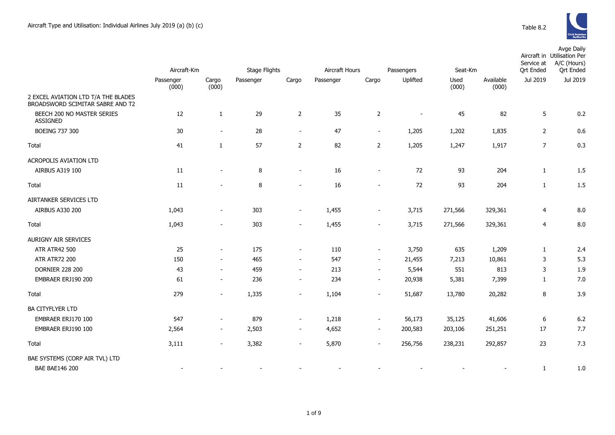

|                                                                         | Aircraft-Km |                          | <b>Stage Flights</b> |                          | Aircraft Hours<br>Passengers |                          |          | Seat-Km |           | Service at<br><b>Qrt Ended</b> | Avge Daily<br>Aircraft in Utilisation Per<br>A/C (Hours)<br><b>Qrt Ended</b> |
|-------------------------------------------------------------------------|-------------|--------------------------|----------------------|--------------------------|------------------------------|--------------------------|----------|---------|-----------|--------------------------------|------------------------------------------------------------------------------|
|                                                                         | Passenger   | Cargo                    | Passenger            | Cargo                    |                              | Cargo                    | Uplifted | Used    | Available | Jul 2019                       | Jul 2019                                                                     |
|                                                                         | (000)       | (000)                    |                      |                          | Passenger                    |                          |          | (000)   | (000)     |                                |                                                                              |
| 2 EXCEL AVIATION LTD T/A THE BLADES<br>BROADSWORD SCIMITAR SABRE AND T2 |             |                          |                      |                          |                              |                          |          |         |           |                                |                                                                              |
| BEECH 200 NO MASTER SERIES<br><b>ASSIGNED</b>                           | 12          | 1                        | 29                   | $\overline{2}$           | 35                           | $\overline{2}$           | $\sim$   | 45      | 82        | 5                              | 0.2                                                                          |
| BOEING 737 300                                                          | 30          | $\overline{\phantom{a}}$ | 28                   | $\overline{\phantom{a}}$ | 47                           | $\blacksquare$           | 1,205    | 1,202   | 1,835     | $\overline{2}$                 | 0.6                                                                          |
| Total                                                                   | 41          | $\mathbf{1}$             | 57                   | $\overline{2}$           | 82                           | $\overline{2}$           | 1,205    | 1,247   | 1,917     | $\overline{7}$                 | 0.3                                                                          |
| <b>ACROPOLIS AVIATION LTD</b>                                           |             |                          |                      |                          |                              |                          |          |         |           |                                |                                                                              |
| AIRBUS A319 100                                                         | 11          | $\overline{\phantom{a}}$ | 8                    | $\overline{\phantom{a}}$ | 16                           | $\blacksquare$           | 72       | 93      | 204       | $\mathbf{1}$                   | 1.5                                                                          |
| Total                                                                   | 11          | ÷,                       | 8                    | $\blacksquare$           | 16                           | $\blacksquare$           | 72       | 93      | 204       | $\mathbf{1}$                   | 1.5                                                                          |
| AIRTANKER SERVICES LTD                                                  |             |                          |                      |                          |                              |                          |          |         |           |                                |                                                                              |
| AIRBUS A330 200                                                         | 1,043       | $\overline{\phantom{a}}$ | 303                  | $\overline{\phantom{a}}$ | 1,455                        | $\overline{\phantom{a}}$ | 3,715    | 271,566 | 329,361   | 4                              | 8.0                                                                          |
| Total                                                                   | 1,043       | $\blacksquare$           | 303                  | $\overline{\phantom{a}}$ | 1,455                        | $\blacksquare$           | 3,715    | 271,566 | 329,361   | $\overline{4}$                 | 8.0                                                                          |
| AURIGNY AIR SERVICES                                                    |             |                          |                      |                          |                              |                          |          |         |           |                                |                                                                              |
| <b>ATR ATR42 500</b>                                                    | 25          | $\blacksquare$           | 175                  | $\overline{\phantom{a}}$ | 110                          | $\sim$                   | 3,750    | 635     | 1,209     | $\mathbf{1}$                   | 2.4                                                                          |
| <b>ATR ATR72 200</b>                                                    | 150         | $\blacksquare$           | 465                  | $\sim$                   | 547                          | $\sim$                   | 21,455   | 7,213   | 10,861    | 3                              | 5.3                                                                          |
| <b>DORNIER 228 200</b>                                                  | 43          |                          | 459                  | $\sim$                   | 213                          | $\sim$                   | 5,544    | 551     | 813       | 3                              | 1.9                                                                          |
| EMBRAER ERJ190 200                                                      | 61          | $\sim$                   | 236                  | $\overline{\phantom{a}}$ | 234                          | $\blacksquare$           | 20,938   | 5,381   | 7,399     | $\mathbf{1}$                   | 7.0                                                                          |
| Total                                                                   | 279         | $\blacksquare$           | 1,335                | $\blacksquare$           | 1,104                        | $\overline{\phantom{a}}$ | 51,687   | 13,780  | 20,282    | 8                              | 3.9                                                                          |
| <b>BA CITYFLYER LTD</b>                                                 |             |                          |                      |                          |                              |                          |          |         |           |                                |                                                                              |
| EMBRAER ERJ170 100                                                      | 547         | $\overline{\phantom{a}}$ | 879                  | $\overline{\phantom{a}}$ | 1,218                        | $\blacksquare$           | 56,173   | 35,125  | 41,606    | 6                              | 6.2                                                                          |
| EMBRAER ERJ190 100                                                      | 2,564       | $\sim$                   | 2,503                | $\overline{\phantom{a}}$ | 4,652                        | $\sim$                   | 200,583  | 203,106 | 251,251   | 17                             | 7.7                                                                          |
| Total                                                                   | 3,111       | $\overline{\phantom{a}}$ | 3,382                | $\overline{\phantom{a}}$ | 5,870                        | $\blacksquare$           | 256,756  | 238,231 | 292,857   | 23                             | 7.3                                                                          |
| BAE SYSTEMS (CORP AIR TVL) LTD                                          |             |                          |                      |                          |                              |                          |          |         |           |                                |                                                                              |
| <b>BAE BAE146 200</b>                                                   |             |                          |                      |                          |                              |                          |          |         |           | $\mathbf{1}$                   | 1.0                                                                          |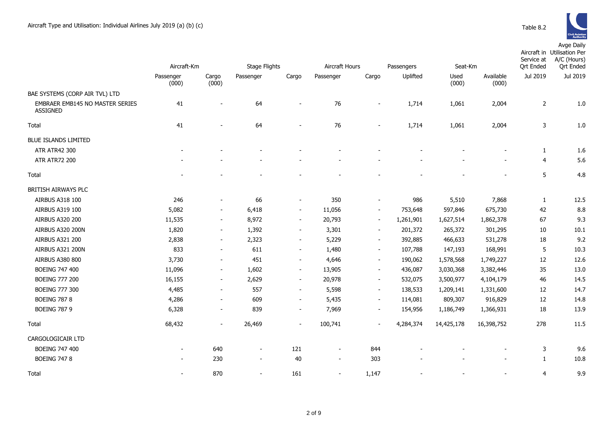|                                             | Aircraft-Km              |                          | Stage Flights            |                          | Aircraft Hours           |                              | Seat-Km<br>Passengers |               |                    | Service at<br><b>Qrt Ended</b> | Aircraft in Utilisation Per<br>A/C (Hours)<br><b>Qrt Ended</b> |
|---------------------------------------------|--------------------------|--------------------------|--------------------------|--------------------------|--------------------------|------------------------------|-----------------------|---------------|--------------------|--------------------------------|----------------------------------------------------------------|
|                                             | Passenger<br>(000)       | Cargo<br>(000)           | Passenger                | Cargo                    | Passenger                | Cargo                        | Uplifted              | Used<br>(000) | Available<br>(000) | Jul 2019                       | Jul 2019                                                       |
| BAE SYSTEMS (CORP AIR TVL) LTD              |                          |                          |                          |                          |                          |                              |                       |               |                    |                                |                                                                |
| EMBRAER EMB145 NO MASTER SERIES<br>ASSIGNED | 41                       |                          | 64                       |                          | 76                       | $\overline{a}$               | 1,714                 | 1,061         | 2,004              | $\overline{2}$                 | 1.0                                                            |
| Total                                       | 41                       |                          | 64                       |                          | 76                       |                              | 1,714                 | 1,061         | 2,004              | 3                              | 1.0                                                            |
| <b>BLUE ISLANDS LIMITED</b>                 |                          |                          |                          |                          |                          |                              |                       |               |                    |                                |                                                                |
| <b>ATR ATR42 300</b>                        |                          |                          |                          |                          |                          |                              |                       |               |                    | $\mathbf{1}$                   | 1.6                                                            |
| <b>ATR ATR72 200</b>                        |                          |                          |                          |                          |                          |                              |                       |               |                    | $\overline{4}$                 | 5.6                                                            |
| Total                                       |                          |                          |                          |                          |                          |                              |                       |               |                    | 5                              | 4.8                                                            |
| BRITISH AIRWAYS PLC                         |                          |                          |                          |                          |                          |                              |                       |               |                    |                                |                                                                |
| AIRBUS A318 100                             | 246                      |                          | 66                       | $\overline{\phantom{a}}$ | 350                      |                              | 986                   | 5,510         | 7,868              | $\mathbf{1}$                   | 12.5                                                           |
| AIRBUS A319 100                             | 5,082                    | $\overline{\phantom{a}}$ | 6,418                    | $\blacksquare$           | 11,056                   | $\overline{\phantom{a}}$     | 753,648               | 597,846       | 675,730            | 42                             | 8.8                                                            |
| <b>AIRBUS A320 200</b>                      | 11,535                   | $\overline{\phantom{a}}$ | 8,972                    | $\sim$                   | 20,793                   | $\sim$                       | 1,261,901             | 1,627,514     | 1,862,378          | 67                             | 9.3                                                            |
| AIRBUS A320 200N                            | 1,820                    | $\overline{\phantom{a}}$ | 1,392                    | $\sim$                   | 3,301                    | $\sim$                       | 201,372               | 265,372       | 301,295            | 10                             | 10.1                                                           |
| AIRBUS A321 200                             | 2,838                    | $\blacksquare$           | 2,323                    | $\blacksquare$           | 5,229                    | $\overline{\phantom{a}}$     | 392,885               | 466,633       | 531,278            | 18                             | 9.2                                                            |
| AIRBUS A321 200N                            | 833                      | $\sim$                   | 611                      | $\blacksquare$           | 1,480                    | $\blacksquare$               | 107,788               | 147,193       | 168,991            | 5                              | 10.3                                                           |
| <b>AIRBUS A380 800</b>                      | 3,730                    | $\blacksquare$           | 451                      | $\blacksquare$           | 4,646                    | $\sim$                       | 190,062               | 1,578,568     | 1,749,227          | 12                             | 12.6                                                           |
| <b>BOEING 747 400</b>                       | 11,096                   | $\overline{\phantom{a}}$ | 1,602                    | $\blacksquare$           | 13,905                   | $\overline{\phantom{a}}$     | 436,087               | 3,030,368     | 3,382,446          | 35                             | 13.0                                                           |
| <b>BOEING 777 200</b>                       | 16,155                   | $\overline{\phantom{a}}$ | 2,629                    | $\blacksquare$           | 20,978                   | $\overline{\phantom{a}}$     | 532,075               | 3,500,977     | 4,104,179          | 46                             | 14.5                                                           |
| <b>BOEING 777 300</b>                       | 4,485                    | $\overline{\phantom{a}}$ | 557                      | $\overline{\phantom{a}}$ | 5,598                    | $\blacksquare$               | 138,533               | 1,209,141     | 1,331,600          | 12                             | 14.7                                                           |
| <b>BOEING 787 8</b>                         | 4,286                    | $\overline{\phantom{a}}$ | 609                      | $\sim$                   | 5,435                    | $\overline{\phantom{a}}$     | 114,081               | 809,307       | 916,829            | 12                             | 14.8                                                           |
| <b>BOEING 787 9</b>                         | 6,328                    | $\overline{\phantom{a}}$ | 839                      | $\overline{\phantom{a}}$ | 7,969                    | $\qquad \qquad \blacksquare$ | 154,956               | 1,186,749     | 1,366,931          | 18                             | 13.9                                                           |
| Total                                       | 68,432                   | $\blacksquare$           | 26,469                   | $\overline{\phantom{a}}$ | 100,741                  | $\blacksquare$               | 4,284,374             | 14,425,178    | 16,398,752         | 278                            | 11.5                                                           |
| CARGOLOGICAIR LTD                           |                          |                          |                          |                          |                          |                              |                       |               |                    |                                |                                                                |
| <b>BOEING 747 400</b>                       |                          | 640                      | $\overline{\phantom{a}}$ | 121                      | $\overline{\phantom{a}}$ | 844                          |                       |               |                    | 3                              | 9.6                                                            |
| <b>BOEING 747 8</b>                         | $\overline{\phantom{a}}$ | 230                      | $\overline{\phantom{a}}$ | 40                       | $\overline{\phantom{a}}$ | 303                          |                       |               |                    | $\mathbf{1}$                   | 10.8                                                           |
| Total                                       | $\overline{\phantom{a}}$ | 870                      | $\blacksquare$           | 161                      | $\overline{\phantom{a}}$ | 1,147                        |                       |               |                    | 4                              | 9.9                                                            |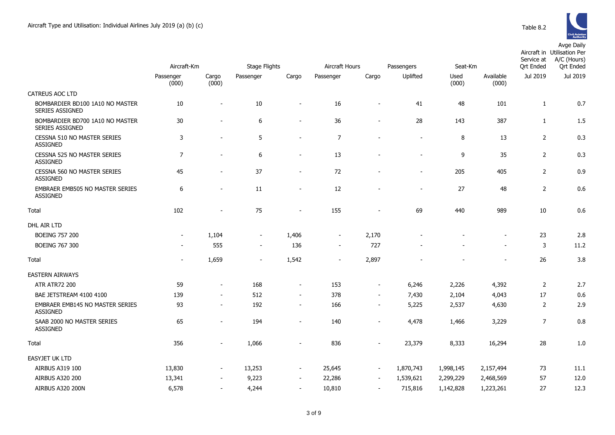

|                                                           |                    |                          |                          |                          |                |                          |            |               |                          |                  | Aircraft in Utilisation Per<br>Service at<br>A/C (Hours) |
|-----------------------------------------------------------|--------------------|--------------------------|--------------------------|--------------------------|----------------|--------------------------|------------|---------------|--------------------------|------------------|----------------------------------------------------------|
|                                                           | Aircraft-Km        |                          | <b>Stage Flights</b>     |                          | Aircraft Hours |                          | Passengers | Seat-Km       |                          | <b>Qrt Ended</b> | <b>Qrt Ended</b>                                         |
|                                                           | Passenger<br>(000) | Cargo<br>(000)           | Passenger                | Cargo                    | Passenger      | Cargo                    | Uplifted   | Used<br>(000) | Available<br>(000)       | Jul 2019         | Jul 2019                                                 |
| CATREUS AOC LTD                                           |                    |                          |                          |                          |                |                          |            |               |                          |                  |                                                          |
| BOMBARDIER BD100 1A10 NO MASTER<br><b>SERIES ASSIGNED</b> | 10                 |                          | 10                       | $\blacksquare$           | 16             | $\overline{\phantom{a}}$ | 41         | 48            | 101                      | $\mathbf{1}$     | 0.7                                                      |
| BOMBARDIER BD700 1A10 NO MASTER<br>SERIES ASSIGNED        | $30\,$             | $\sim$                   | 6                        | $\blacksquare$           | 36             | $\blacksquare$           | 28         | 143           | 387                      | $\mathbf{1}$     | 1.5                                                      |
| CESSNA 510 NO MASTER SERIES<br><b>ASSIGNED</b>            | 3                  | $\sim$                   | 5                        | $\overline{\phantom{a}}$ | $\overline{7}$ | ÷                        |            | 8             | 13                       | $\overline{2}$   | 0.3                                                      |
| CESSNA 525 NO MASTER SERIES<br><b>ASSIGNED</b>            | $\overline{7}$     |                          | 6                        | $\overline{\phantom{a}}$ | 13             |                          |            | 9             | 35                       | $\overline{2}$   | 0.3                                                      |
| CESSNA 560 NO MASTER SERIES<br><b>ASSIGNED</b>            | 45                 |                          | 37                       | $\sim$                   | 72             |                          |            | 205           | 405                      | $\overline{2}$   | 0.9                                                      |
| <b>EMBRAER EMB505 NO MASTER SERIES</b><br><b>ASSIGNED</b> | 6                  | $\blacksquare$           | 11                       | $\blacksquare$           | 12             | $\overline{a}$           |            | 27            | 48                       | $\overline{2}$   | 0.6                                                      |
| Total                                                     | 102                | $\sim$                   | 75                       | $\sim$                   | 155            | $\overline{a}$           | 69         | 440           | 989                      | 10               | 0.6                                                      |
| DHL AIR LTD                                               |                    |                          |                          |                          |                |                          |            |               |                          |                  |                                                          |
| <b>BOEING 757 200</b>                                     | $\sim$             | 1,104                    | $\blacksquare$           | 1,406                    | $\blacksquare$ | 2,170                    |            |               |                          | 23               | 2.8                                                      |
| <b>BOEING 767 300</b>                                     |                    | 555                      | $\blacksquare$           | 136                      | $\sim$         | 727                      |            |               | $\overline{\phantom{a}}$ | 3                | 11.2                                                     |
| Total                                                     |                    | 1,659                    | $\overline{\phantom{a}}$ | 1,542                    | $\blacksquare$ | 2,897                    |            |               |                          | 26               | 3.8                                                      |
| <b>EASTERN AIRWAYS</b>                                    |                    |                          |                          |                          |                |                          |            |               |                          |                  |                                                          |
| <b>ATR ATR72 200</b>                                      | 59                 | $\blacksquare$           | 168                      | $\overline{\phantom{a}}$ | 153            | $\overline{\phantom{a}}$ | 6,246      | 2,226         | 4,392                    | $\overline{2}$   | 2.7                                                      |
| BAE JETSTREAM 4100 4100                                   | 139                | $\overline{\phantom{a}}$ | 512                      | $\blacksquare$           | 378            | $\overline{\phantom{a}}$ | 7,430      | 2,104         | 4,043                    | 17               | 0.6                                                      |
| EMBRAER EMB145 NO MASTER SERIES<br><b>ASSIGNED</b>        | 93                 | $\sim$                   | 192                      | $\sim$                   | 166            | $\sim$                   | 5,225      | 2,537         | 4,630                    | $\overline{2}$   | 2.9                                                      |
| SAAB 2000 NO MASTER SERIES<br>ASSIGNED                    | 65                 | $\blacksquare$           | 194                      | $\blacksquare$           | 140            | $\blacksquare$           | 4,478      | 1,466         | 3,229                    | $\overline{7}$   | 0.8                                                      |
| Total                                                     | 356                |                          | 1,066                    |                          | 836            |                          | 23,379     | 8,333         | 16,294                   | 28               | 1.0                                                      |
| <b>EASYJET UK LTD</b>                                     |                    |                          |                          |                          |                |                          |            |               |                          |                  |                                                          |
| AIRBUS A319 100                                           | 13,830             | $\overline{\phantom{a}}$ | 13,253                   | $\overline{\phantom{a}}$ | 25,645         | $\overline{\phantom{a}}$ | 1,870,743  | 1,998,145     | 2,157,494                | 73               | 11.1                                                     |
| AIRBUS A320 200                                           | 13,341             | $\overline{\phantom{a}}$ | 9,223                    | $\overline{\phantom{a}}$ | 22,286         | $\overline{\phantom{a}}$ | 1,539,621  | 2,299,229     | 2,468,569                | 57               | 12.0                                                     |
| <b>AIRBUS A320 200N</b>                                   | 6,578              | $\sim$                   | 4,244                    | $\overline{\phantom{a}}$ | 10,810         | $\blacksquare$           | 715,816    | 1,142,828     | 1,223,261                | 27               | 12.3                                                     |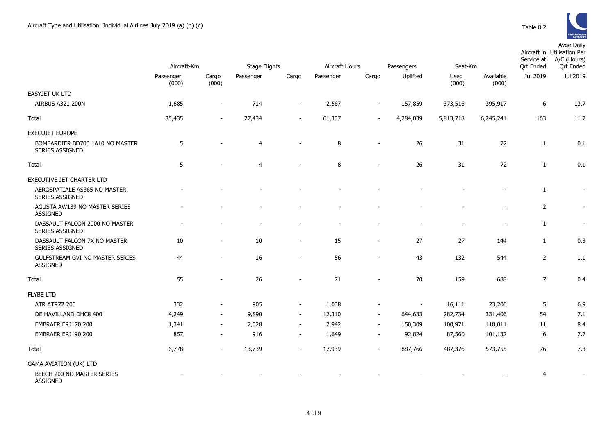|                                                        | Aircraft-Km        |                          | <b>Stage Flights</b> |                          | Aircraft Hours |                          | Passengers | Seat-Km                  |                    | Service at<br><b>Qrt Ended</b> | Aircraft in Utilisation Per<br>A/C (Hours)<br><b>Qrt</b> Ended |
|--------------------------------------------------------|--------------------|--------------------------|----------------------|--------------------------|----------------|--------------------------|------------|--------------------------|--------------------|--------------------------------|----------------------------------------------------------------|
|                                                        | Passenger<br>(000) | Cargo<br>(000)           | Passenger            | Cargo                    | Passenger      | Cargo                    | Uplifted   | Used<br>(000)            | Available<br>(000) | Jul 2019                       | Jul 2019                                                       |
| <b>EASYJET UK LTD</b>                                  |                    |                          |                      |                          |                |                          |            |                          |                    |                                |                                                                |
| AIRBUS A321 200N                                       | 1,685              | $\overline{\phantom{a}}$ | 714                  | $\overline{\phantom{a}}$ | 2,567          |                          | 157,859    | 373,516                  | 395,917            | 6                              | 13.7                                                           |
| Total                                                  | 35,435             | $\blacksquare$           | 27,434               | $\overline{a}$           | 61,307         |                          | 4,284,039  | 5,813,718                | 6,245,241          | 163                            | 11.7                                                           |
| <b>EXECUJET EUROPE</b>                                 |                    |                          |                      |                          |                |                          |            |                          |                    |                                |                                                                |
| BOMBARDIER BD700 1A10 NO MASTER<br>SERIES ASSIGNED     | 5                  |                          | $\overline{4}$       |                          | 8              | $\overline{\phantom{a}}$ | 26         | 31                       | 72                 | 1                              | 0.1                                                            |
| Total                                                  | 5                  |                          | $\overline{4}$       |                          | 8              |                          | 26         | 31                       | 72                 | 1                              | 0.1                                                            |
| EXECUTIVE JET CHARTER LTD                              |                    |                          |                      |                          |                |                          |            |                          |                    |                                |                                                                |
| AEROSPATIALE AS365 NO MASTER<br><b>SERIES ASSIGNED</b> |                    |                          |                      |                          |                |                          |            |                          |                    | 1                              |                                                                |
| AGUSTA AW139 NO MASTER SERIES<br><b>ASSIGNED</b>       |                    |                          |                      |                          |                |                          |            |                          |                    | $\overline{2}$                 |                                                                |
| DASSAULT FALCON 2000 NO MASTER<br>SERIES ASSIGNED      |                    |                          |                      | $\overline{\phantom{a}}$ |                |                          |            | $\overline{\phantom{a}}$ |                    | $\mathbf{1}$                   | $\overline{\phantom{a}}$                                       |
| DASSAULT FALCON 7X NO MASTER<br>SERIES ASSIGNED        | 10                 | $\blacksquare$           | 10                   | $\overline{a}$           | 15             | $\blacksquare$           | 27         | 27                       | 144                | $\mathbf{1}$                   | 0.3                                                            |
| GULFSTREAM GVI NO MASTER SERIES<br><b>ASSIGNED</b>     | 44                 |                          | 16                   | $\overline{a}$           | 56             | $\overline{\phantom{a}}$ | 43         | 132                      | 544                | 2                              | 1.1                                                            |
| Total                                                  | 55                 |                          | 26                   | $\overline{a}$           | 71             |                          | 70         | 159                      | 688                | $\overline{7}$                 | 0.4                                                            |
| <b>FLYBE LTD</b>                                       |                    |                          |                      |                          |                |                          |            |                          |                    |                                |                                                                |
| <b>ATR ATR72 200</b>                                   | 332                | $\overline{\phantom{a}}$ | 905                  | $\overline{\phantom{a}}$ | 1,038          |                          |            | 16,111                   | 23,206             | $\sqrt{5}$                     | 6.9                                                            |
| DE HAVILLAND DHC8 400                                  | 4,249              | $\blacksquare$           | 9,890                | $\overline{\phantom{a}}$ | 12,310         | $\overline{\phantom{a}}$ | 644,633    | 282,734                  | 331,406            | 54                             | 7.1                                                            |
| EMBRAER ERJ170 200                                     | 1,341              | $\overline{\phantom{a}}$ | 2,028                | $\sim$                   | 2,942          | $\sim$                   | 150,309    | 100,971                  | 118,011            | 11                             | 8.4                                                            |
| EMBRAER ERJ190 200                                     | 857                | $\sim$                   | 916                  | $\overline{\phantom{a}}$ | 1,649          | $\overline{\phantom{a}}$ | 92,824     | 87,560                   | 101,132            | 6                              | 7.7                                                            |
| Total                                                  | 6,778              | $\overline{\phantom{a}}$ | 13,739               | $\blacksquare$           | 17,939         | $\blacksquare$           | 887,766    | 487,376                  | 573,755            | 76                             | 7.3                                                            |
| <b>GAMA AVIATION (UK) LTD</b>                          |                    |                          |                      |                          |                |                          |            |                          |                    |                                |                                                                |
| BEECH 200 NO MASTER SERIES<br><b>ASSIGNED</b>          |                    |                          |                      |                          |                |                          |            |                          |                    | 4                              |                                                                |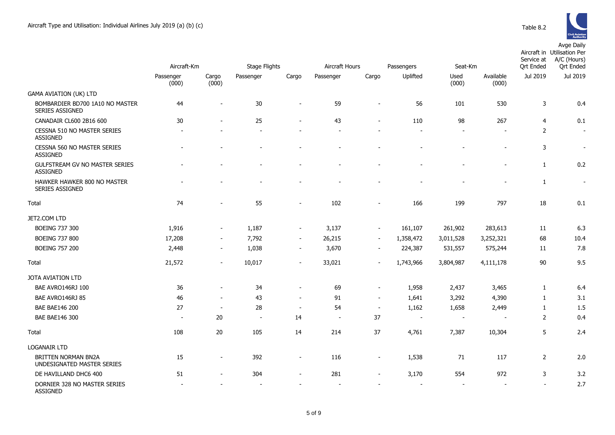

|                                                           | Aircraft-Km              |                          | <b>Stage Flights</b> |                          | Aircraft Hours<br>Passengers<br>Seat-Km |                          |                          |                          |                          | Aircraft in Utilisation Per<br>A/C (Hours)<br>Service at<br><b>Ort Ended</b><br><b>Qrt Ended</b> |                |  |
|-----------------------------------------------------------|--------------------------|--------------------------|----------------------|--------------------------|-----------------------------------------|--------------------------|--------------------------|--------------------------|--------------------------|--------------------------------------------------------------------------------------------------|----------------|--|
|                                                           | Passenger<br>(000)       | Cargo<br>(000)           | Passenger            | Cargo                    | Passenger                               | Cargo                    | Uplifted                 | Used<br>(000)            | Available<br>(000)       | Jul 2019                                                                                         | Jul 2019       |  |
| <b>GAMA AVIATION (UK) LTD</b>                             |                          |                          |                      |                          |                                         |                          |                          |                          |                          |                                                                                                  |                |  |
| BOMBARDIER BD700 1A10 NO MASTER<br><b>SERIES ASSIGNED</b> | 44                       | $\overline{\phantom{a}}$ | 30                   | $\overline{\phantom{a}}$ | 59                                      | $\overline{\phantom{a}}$ | 56                       | 101                      | 530                      | 3                                                                                                | 0.4            |  |
| CANADAIR CL600 2B16 600                                   | 30                       |                          | 25                   | $\sim$                   | 43                                      |                          | 110                      | 98                       | 267                      | 4                                                                                                | 0.1            |  |
| CESSNA 510 NO MASTER SERIES<br><b>ASSIGNED</b>            |                          |                          |                      |                          |                                         |                          |                          |                          |                          | 2                                                                                                | $\sim$         |  |
| CESSNA 560 NO MASTER SERIES<br><b>ASSIGNED</b>            |                          |                          |                      |                          |                                         |                          |                          |                          |                          | 3                                                                                                | $\sim$         |  |
| GULFSTREAM GV NO MASTER SERIES<br><b>ASSIGNED</b>         |                          |                          |                      |                          |                                         |                          |                          |                          | $\overline{\phantom{0}}$ | $\mathbf{1}$                                                                                     | 0.2            |  |
| HAWKER HAWKER 800 NO MASTER<br>SERIES ASSIGNED            |                          |                          |                      |                          |                                         |                          |                          |                          | $\overline{a}$           | $\mathbf{1}$                                                                                     | $\blacksquare$ |  |
| Total                                                     | 74                       |                          | 55                   |                          | 102                                     |                          | 166                      | 199                      | 797                      | 18                                                                                               | 0.1            |  |
| JET2.COM LTD                                              |                          |                          |                      |                          |                                         |                          |                          |                          |                          |                                                                                                  |                |  |
| <b>BOEING 737 300</b>                                     | 1,916                    | $\overline{\phantom{a}}$ | 1,187                | $\sim$                   | 3,137                                   | $\sim$                   | 161,107                  | 261,902                  | 283,613                  | 11                                                                                               | 6.3            |  |
| <b>BOEING 737 800</b>                                     | 17,208                   | $\overline{\phantom{a}}$ | 7,792                | $\sim$                   | 26,215                                  | $\sim$                   | 1,358,472                | 3,011,528                | 3,252,321                | 68                                                                                               | 10.4           |  |
| <b>BOEING 757 200</b>                                     | 2,448                    | $\blacksquare$           | 1,038                | $\overline{\phantom{a}}$ | 3,670                                   | $\overline{\phantom{a}}$ | 224,387                  | 531,557                  | 575,244                  | 11                                                                                               | 7.8            |  |
| Total                                                     | 21,572                   | $\overline{\phantom{a}}$ | 10,017               | $\sim$                   | 33,021                                  |                          | 1,743,966                | 3,804,987                | 4,111,178                | 90                                                                                               | 9.5            |  |
| <b>JOTA AVIATION LTD</b>                                  |                          |                          |                      |                          |                                         |                          |                          |                          |                          |                                                                                                  |                |  |
| BAE AVRO146RJ 100                                         | 36                       | $\blacksquare$           | 34                   | $\sim$                   | 69                                      | $\sim$                   | 1,958                    | 2,437                    | 3,465                    | $\mathbf{1}$                                                                                     | 6.4            |  |
| BAE AVRO146RJ 85                                          | 46                       | $\blacksquare$           | 43                   | $\blacksquare$           | 91                                      | $\overline{\phantom{a}}$ | 1,641                    | 3,292                    | 4,390                    | $\mathbf{1}$                                                                                     | 3.1            |  |
| <b>BAE BAE146 200</b>                                     | 27                       | $\sim$                   | 28                   | $\overline{\phantom{a}}$ | 54                                      | $\sim$                   | 1,162                    | 1,658                    | 2,449                    | $\mathbf{1}$                                                                                     | 1.5            |  |
| <b>BAE BAE146 300</b>                                     | $\overline{\phantom{a}}$ | 20                       | $\sim$               | 14                       | $\overline{\phantom{a}}$                | 37                       | $\overline{\phantom{a}}$ | $\overline{\phantom{a}}$ | $\overline{\phantom{a}}$ | $\overline{2}$                                                                                   | 0.4            |  |
| Total                                                     | 108                      | 20                       | 105                  | 14                       | 214                                     | 37                       | 4,761                    | 7,387                    | 10,304                   | 5                                                                                                | 2.4            |  |
| <b>LOGANAIR LTD</b>                                       |                          |                          |                      |                          |                                         |                          |                          |                          |                          |                                                                                                  |                |  |
| <b>BRITTEN NORMAN BN2A</b><br>UNDESIGNATED MASTER SERIES  | 15                       | $\overline{\phantom{a}}$ | 392                  | $\sim$                   | 116                                     | $\overline{\phantom{a}}$ | 1,538                    | 71                       | 117                      | $\overline{2}$                                                                                   | 2.0            |  |
| DE HAVILLAND DHC6 400                                     | 51                       |                          | 304                  |                          | 281                                     |                          | 3,170                    | 554                      | 972                      | 3                                                                                                | 3.2            |  |
| DORNIER 328 NO MASTER SERIES<br><b>ASSIGNED</b>           |                          |                          |                      |                          |                                         |                          |                          |                          |                          |                                                                                                  | 2.7            |  |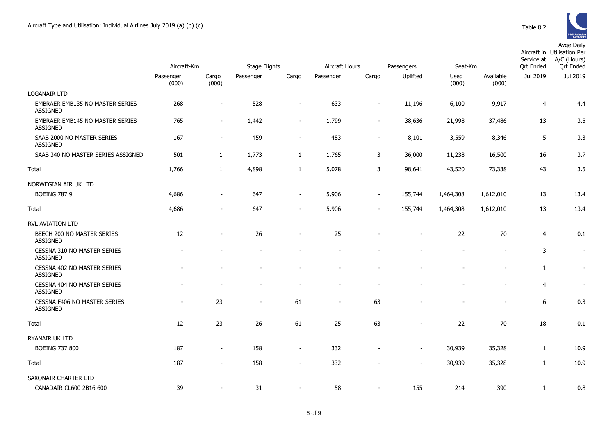|                                                           | Aircraft-Km        |                          | Stage Flights |                          | Aircraft Hours |                          | Passengers               | Seat-Km       |                    | Service at<br><b>Ort Ended</b> | Aircraft in Utilisation Per<br>A/C (Hours)<br><b>Ort Ended</b> |
|-----------------------------------------------------------|--------------------|--------------------------|---------------|--------------------------|----------------|--------------------------|--------------------------|---------------|--------------------|--------------------------------|----------------------------------------------------------------|
|                                                           | Passenger<br>(000) | Cargo<br>(000)           | Passenger     | Cargo                    | Passenger      | Cargo                    | Uplifted                 | Used<br>(000) | Available<br>(000) | Jul 2019                       | Jul 2019                                                       |
| <b>LOGANAIR LTD</b>                                       |                    |                          |               |                          |                |                          |                          |               |                    |                                |                                                                |
| EMBRAER EMB135 NO MASTER SERIES<br><b>ASSIGNED</b>        | 268                | $\blacksquare$           | 528           |                          | 633            | $\overline{\phantom{a}}$ | 11,196                   | 6,100         | 9,917              | $\overline{4}$                 | 4.4                                                            |
| <b>EMBRAER EMB145 NO MASTER SERIES</b><br><b>ASSIGNED</b> | 765                | $\sim$                   | 1,442         | $\overline{\phantom{a}}$ | 1,799          | $\overline{\phantom{0}}$ | 38,636                   | 21,998        | 37,486             | 13                             | 3.5                                                            |
| SAAB 2000 NO MASTER SERIES<br><b>ASSIGNED</b>             | 167                | $\sim$                   | 459           | $\overline{\phantom{a}}$ | 483            | $\overline{\phantom{a}}$ | 8,101                    | 3,559         | 8,346              | 5                              | 3.3                                                            |
| SAAB 340 NO MASTER SERIES ASSIGNED                        | 501                | 1                        | 1,773         | $\mathbf{1}$             | 1,765          | 3                        | 36,000                   | 11,238        | 16,500             | 16                             | 3.7                                                            |
| Total                                                     | 1,766              | 1                        | 4,898         | $\mathbf{1}$             | 5,078          | 3                        | 98,641                   | 43,520        | 73,338             | 43                             | 3.5                                                            |
| NORWEGIAN AIR UK LTD                                      |                    |                          |               |                          |                |                          |                          |               |                    |                                |                                                                |
| <b>BOEING 787 9</b>                                       | 4,686              | $\sim$                   | 647           | $\overline{\phantom{a}}$ | 5,906          | $\overline{\phantom{a}}$ | 155,744                  | 1,464,308     | 1,612,010          | 13                             | 13.4                                                           |
| Total                                                     | 4,686              | $\overline{\phantom{a}}$ | 647           | $\overline{\phantom{a}}$ | 5,906          | $\overline{\phantom{0}}$ | 155,744                  | 1,464,308     | 1,612,010          | 13                             | 13.4                                                           |
| RVL AVIATION LTD                                          |                    |                          |               |                          |                |                          |                          |               |                    |                                |                                                                |
| BEECH 200 NO MASTER SERIES<br><b>ASSIGNED</b>             | 12                 |                          | 26            |                          | 25             |                          |                          | 22            | 70                 | $\overline{4}$                 | 0.1                                                            |
| CESSNA 310 NO MASTER SERIES<br><b>ASSIGNED</b>            |                    |                          |               |                          |                |                          |                          |               |                    | 3                              | $\blacksquare$                                                 |
| CESSNA 402 NO MASTER SERIES<br><b>ASSIGNED</b>            |                    |                          |               |                          |                |                          |                          |               |                    | $\mathbf{1}$                   | $\sim$                                                         |
| CESSNA 404 NO MASTER SERIES<br><b>ASSIGNED</b>            |                    |                          |               |                          |                |                          |                          |               |                    | $\overline{4}$                 |                                                                |
| CESSNA F406 NO MASTER SERIES<br><b>ASSIGNED</b>           |                    | 23                       |               | 61                       | $\blacksquare$ | 63                       |                          |               |                    | 6                              | 0.3                                                            |
| Total                                                     | 12                 | 23                       | 26            | 61                       | 25             | 63                       |                          | 22            | 70                 | 18                             | 0.1                                                            |
| RYANAIR UK LTD                                            |                    |                          |               |                          |                |                          |                          |               |                    |                                |                                                                |
| <b>BOEING 737 800</b>                                     | 187                | $\overline{\phantom{a}}$ | 158           | $\overline{\phantom{a}}$ | 332            |                          | $\overline{\phantom{a}}$ | 30,939        | 35,328             | $\mathbf{1}$                   | 10.9                                                           |
| Total                                                     | 187                |                          | 158           | $\overline{\phantom{a}}$ | 332            |                          | $\overline{\phantom{a}}$ | 30,939        | 35,328             | $\mathbf{1}$                   | 10.9                                                           |
| SAXONAIR CHARTER LTD                                      |                    |                          |               |                          |                |                          |                          |               |                    |                                |                                                                |
| CANADAIR CL600 2B16 600                                   | 39                 |                          | 31            | ۰                        | 58             | $\overline{\phantom{0}}$ | 155                      | 214           | 390                | $\mathbf{1}$                   | 0.8                                                            |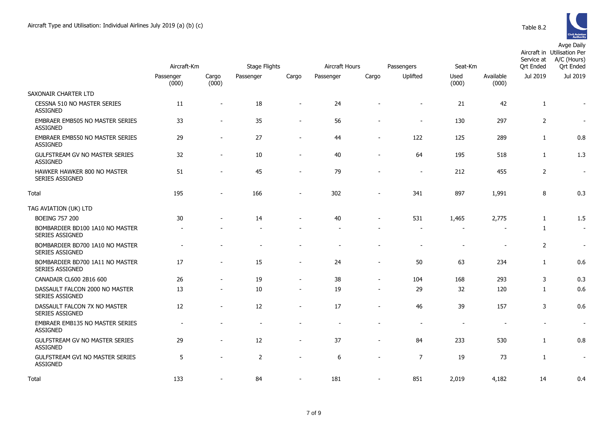|                                                           | Aircraft-Km              |                          | <b>Stage Flights</b> |                          | Aircraft Hours |                          | Passengers<br>Seat-Km    |                          |                          | Aircraft in Utilisation Per<br>A/C (Hours)<br>Service at<br><b>Qrt Ended</b><br><b>Qrt Ended</b> |                          |  |
|-----------------------------------------------------------|--------------------------|--------------------------|----------------------|--------------------------|----------------|--------------------------|--------------------------|--------------------------|--------------------------|--------------------------------------------------------------------------------------------------|--------------------------|--|
|                                                           | Passenger<br>(000)       | Cargo<br>(000)           | Passenger            | Cargo                    | Passenger      | Cargo                    | Uplifted                 | Used<br>(000)            | Available<br>(000)       | Jul 2019                                                                                         | Jul 2019                 |  |
| SAXONAIR CHARTER LTD                                      |                          |                          |                      |                          |                |                          |                          |                          |                          |                                                                                                  |                          |  |
| CESSNA 510 NO MASTER SERIES<br><b>ASSIGNED</b>            | 11                       | $\overline{\phantom{a}}$ | 18                   |                          | 24             |                          | $\blacksquare$           | 21                       | 42                       | $\mathbf{1}$                                                                                     | $\overline{\phantom{a}}$ |  |
| EMBRAER EMB505 NO MASTER SERIES<br><b>ASSIGNED</b>        | 33                       | $\blacksquare$           | 35                   | $\sim$                   | 56             |                          | $\blacksquare$           | 130                      | 297                      | $\overline{2}$                                                                                   | $\overline{\phantom{a}}$ |  |
| EMBRAER EMB550 NO MASTER SERIES<br><b>ASSIGNED</b>        | 29                       | $\overline{\phantom{a}}$ | 27                   |                          | 44             | $\blacksquare$           | 122                      | 125                      | 289                      | $\mathbf{1}$                                                                                     | 0.8                      |  |
| GULFSTREAM GV NO MASTER SERIES<br><b>ASSIGNED</b>         | 32                       | $\blacksquare$           | 10                   | $\blacksquare$           | 40             | $\overline{\phantom{a}}$ | 64                       | 195                      | 518                      | $\mathbf{1}$                                                                                     | 1.3                      |  |
| HAWKER HAWKER 800 NO MASTER<br>SERIES ASSIGNED            | 51                       |                          | 45                   |                          | 79             |                          | $\blacksquare$           | 212                      | 455                      | $\overline{2}$                                                                                   | $\sim$                   |  |
| Total                                                     | 195                      |                          | 166                  |                          | 302            |                          | 341                      | 897                      | 1,991                    | 8                                                                                                | 0.3                      |  |
| TAG AVIATION (UK) LTD                                     |                          |                          |                      |                          |                |                          |                          |                          |                          |                                                                                                  |                          |  |
| <b>BOEING 757 200</b>                                     | 30                       |                          | 14                   |                          | 40             |                          | 531                      | 1,465                    | 2,775                    | $\mathbf{1}$                                                                                     | 1.5                      |  |
| BOMBARDIER BD100 1A10 NO MASTER<br><b>SERIES ASSIGNED</b> | $\overline{\phantom{a}}$ |                          |                      |                          |                |                          | $\overline{\phantom{a}}$ | $\overline{\phantom{a}}$ | $\overline{\phantom{a}}$ | $\mathbf{1}$                                                                                     | $\overline{\phantom{a}}$ |  |
| BOMBARDIER BD700 1A10 NO MASTER<br>SERIES ASSIGNED        |                          |                          |                      |                          |                |                          | $\overline{\phantom{a}}$ | $\overline{\phantom{a}}$ | $\overline{\phantom{a}}$ | $\overline{2}$                                                                                   | $\sim$                   |  |
| BOMBARDIER BD700 1A11 NO MASTER<br>SERIES ASSIGNED        | 17                       | $\overline{\phantom{a}}$ | 15                   | $\overline{\phantom{a}}$ | 24             | ٠                        | 50                       | 63                       | 234                      | $\mathbf{1}$                                                                                     | 0.6                      |  |
| CANADAIR CL600 2B16 600                                   | 26                       | $\blacksquare$           | 19                   | $\overline{\phantom{a}}$ | 38             | $\blacksquare$           | 104                      | 168                      | 293                      | 3                                                                                                | 0.3                      |  |
| DASSAULT FALCON 2000 NO MASTER<br>SERIES ASSIGNED         | 13                       | $\overline{\phantom{a}}$ | 10                   |                          | 19             | $\blacksquare$           | 29                       | 32                       | 120                      | $\mathbf{1}$                                                                                     | 0.6                      |  |
| DASSAULT FALCON 7X NO MASTER<br>SERIES ASSIGNED           | 12                       | $\overline{\phantom{a}}$ | 12                   | $\sim$                   | 17             | $\blacksquare$           | 46                       | 39                       | 157                      | 3                                                                                                | 0.6                      |  |
| EMBRAER EMB135 NO MASTER SERIES<br><b>ASSIGNED</b>        | $\overline{a}$           |                          |                      |                          |                |                          | $\overline{\phantom{a}}$ | $\sim$                   |                          |                                                                                                  | $\sim$                   |  |
| GULFSTREAM GV NO MASTER SERIES<br><b>ASSIGNED</b>         | 29                       |                          | 12                   |                          | 37             |                          | 84                       | 233                      | 530                      | 1                                                                                                | 0.8                      |  |
| GULFSTREAM GVI NO MASTER SERIES<br>ASSIGNED               | 5                        |                          | $\overline{2}$       | $\overline{\phantom{a}}$ | 6              | $\blacksquare$           | $\overline{7}$           | 19                       | 73                       | $\mathbf{1}$                                                                                     | $\sim$                   |  |
| Total                                                     | 133                      |                          | 84                   |                          | 181            | $\blacksquare$           | 851                      | 2,019                    | 4,182                    | 14                                                                                               | 0.4                      |  |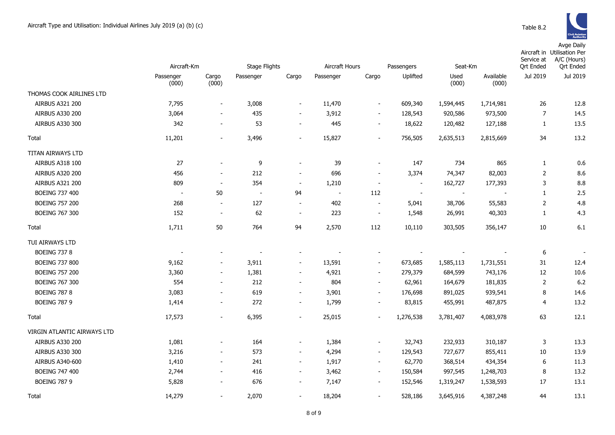|                             | Aircraft-Km              |                          | <b>Stage Flights</b> |                          | Aircraft Hours |                          | Passengers               | Seat-Km                  |                          | Service at<br><b>Qrt Ended</b> | Aircraft in Utilisation Per<br>A/C (Hours)<br><b>Qrt Ended</b> |
|-----------------------------|--------------------------|--------------------------|----------------------|--------------------------|----------------|--------------------------|--------------------------|--------------------------|--------------------------|--------------------------------|----------------------------------------------------------------|
|                             | Passenger<br>(000)       | Cargo<br>(000)           | Passenger            | Cargo                    | Passenger      | Cargo                    | Uplifted                 | Used<br>(000)            | Available<br>(000)       | Jul 2019                       | Jul 2019                                                       |
| THOMAS COOK AIRLINES LTD    |                          |                          |                      |                          |                |                          |                          |                          |                          |                                |                                                                |
| <b>AIRBUS A321 200</b>      | 7,795                    | $\overline{\phantom{a}}$ | 3,008                | $\overline{\phantom{a}}$ | 11,470         | $\overline{\phantom{a}}$ | 609,340                  | 1,594,445                | 1,714,981                | 26                             | 12.8                                                           |
| <b>AIRBUS A330 200</b>      | 3,064                    | $\overline{\phantom{a}}$ | 435                  | $\overline{\phantom{a}}$ | 3,912          | $\overline{\phantom{a}}$ | 128,543                  | 920,586                  | 973,500                  | 7                              | 14.5                                                           |
| AIRBUS A330 300             | 342                      | $\overline{\phantom{a}}$ | 53                   | $\overline{\phantom{a}}$ | 445            | $\overline{\phantom{a}}$ | 18,622                   | 120,482                  | 127,188                  | 1                              | 13.5                                                           |
| Total                       | 11,201                   | $\overline{\phantom{a}}$ | 3,496                | $\overline{\phantom{a}}$ | 15,827         | $\overline{\phantom{a}}$ | 756,505                  | 2,635,513                | 2,815,669                | 34                             | 13.2                                                           |
| TITAN AIRWAYS LTD           |                          |                          |                      |                          |                |                          |                          |                          |                          |                                |                                                                |
| AIRBUS A318 100             | 27                       |                          | 9                    | $\overline{\phantom{a}}$ | 39             |                          | 147                      | 734                      | 865                      | $\mathbf{1}$                   | 0.6                                                            |
| <b>AIRBUS A320 200</b>      | 456                      | $\overline{\phantom{a}}$ | 212                  | $\overline{\phantom{a}}$ | 696            | $\overline{\phantom{a}}$ | 3,374                    | 74,347                   | 82,003                   | $\overline{2}$                 | 8.6                                                            |
| AIRBUS A321 200             | 809                      | $\overline{\phantom{a}}$ | 354                  | $\blacksquare$           | 1,210          | $\overline{\phantom{a}}$ | $\overline{\phantom{a}}$ | 162,727                  | 177,393                  | 3                              | 8.8                                                            |
| BOEING 737 400              | $\sim$                   | 50                       | $\sim$               | 94                       | $\sim$         | 112                      | $\overline{\phantom{a}}$ | $\overline{\phantom{a}}$ | $\overline{\phantom{a}}$ | $\mathbf{1}$                   | 2.5                                                            |
| <b>BOEING 757 200</b>       | 268                      | $\overline{\phantom{a}}$ | 127                  | $\overline{\phantom{a}}$ | 402            | $\overline{\phantom{a}}$ | 5,041                    | 38,706                   | 55,583                   | $\overline{2}$                 | 4.8                                                            |
| <b>BOEING 767 300</b>       | 152                      | $\sim$                   | 62                   | $\sim$                   | 223            | $\overline{\phantom{a}}$ | 1,548                    | 26,991                   | 40,303                   | $\mathbf{1}$                   | 4.3                                                            |
| Total                       | 1,711                    | 50                       | 764                  | 94                       | 2,570          | 112                      | 10,110                   | 303,505                  | 356,147                  | 10                             | 6.1                                                            |
| TUI AIRWAYS LTD             |                          |                          |                      |                          |                |                          |                          |                          |                          |                                |                                                                |
| <b>BOEING 737 8</b>         | $\overline{\phantom{a}}$ |                          |                      |                          |                |                          |                          |                          |                          | 6                              |                                                                |
| <b>BOEING 737 800</b>       | 9,162                    | $\overline{\phantom{a}}$ | 3,911                | $\overline{\phantom{a}}$ | 13,591         | $\overline{\phantom{a}}$ | 673,685                  | 1,585,113                | 1,731,551                | 31                             | 12.4                                                           |
| <b>BOEING 757 200</b>       | 3,360                    | $\overline{\phantom{a}}$ | 1,381                | $\overline{\phantom{a}}$ | 4,921          | $\overline{\phantom{a}}$ | 279,379                  | 684,599                  | 743,176                  | 12                             | 10.6                                                           |
| <b>BOEING 767 300</b>       | 554                      | $\overline{\phantom{a}}$ | 212                  | $\overline{\phantom{a}}$ | 804            | $\sim$                   | 62,961                   | 164,679                  | 181,835                  | $\overline{2}$                 | 6.2                                                            |
| <b>BOEING 787 8</b>         | 3,083                    | $\overline{\phantom{a}}$ | 619                  | $\overline{\phantom{a}}$ | 3,901          | $\overline{\phantom{a}}$ | 176,698                  | 891,025                  | 939,541                  | 8                              | 14.6                                                           |
| <b>BOEING 787 9</b>         | 1,414                    | $\overline{\phantom{a}}$ | 272                  | $\overline{\phantom{a}}$ | 1,799          | $\overline{\phantom{a}}$ | 83,815                   | 455,991                  | 487,875                  | 4                              | 13.2                                                           |
| Total                       | 17,573                   | $\overline{\phantom{a}}$ | 6,395                | $\overline{\phantom{a}}$ | 25,015         |                          | 1,276,538                | 3,781,407                | 4,083,978                | 63                             | 12.1                                                           |
| VIRGIN ATLANTIC AIRWAYS LTD |                          |                          |                      |                          |                |                          |                          |                          |                          |                                |                                                                |
| <b>AIRBUS A330 200</b>      | 1,081                    |                          | 164                  | $\overline{\phantom{a}}$ | 1,384          | $\overline{\phantom{a}}$ | 32,743                   | 232,933                  | 310,187                  | 3                              | 13.3                                                           |
| <b>AIRBUS A330 300</b>      | 3,216                    | $\overline{\phantom{a}}$ | 573                  | $\overline{\phantom{a}}$ | 4,294          | $\overline{\phantom{a}}$ | 129,543                  | 727,677                  | 855,411                  | 10                             | 13.9                                                           |
| AIRBUS A340-600             | 1,410                    | $\blacksquare$           | 241                  | $\blacksquare$           | 1,917          | $\sim$                   | 62,770                   | 368,514                  | 434,354                  | 6                              | 11.3                                                           |
| BOEING 747 400              | 2,744                    | $\overline{\phantom{a}}$ | 416                  | $\blacksquare$           | 3,462          | $\overline{\phantom{a}}$ | 150,584                  | 997,545                  | 1,248,703                | 8                              | 13.2                                                           |
| <b>BOEING 787 9</b>         | 5,828                    | $\overline{\phantom{a}}$ | 676                  | $\overline{\phantom{a}}$ | 7,147          | $\sim$                   | 152,546                  | 1,319,247                | 1,538,593                | 17                             | 13.1                                                           |
| Total                       | 14,279                   | $\overline{\phantom{a}}$ | 2,070                | $\overline{\phantom{a}}$ | 18,204         | $\overline{\phantom{a}}$ | 528,186                  | 3,645,916                | 4,387,248                | 44                             | 13.1                                                           |